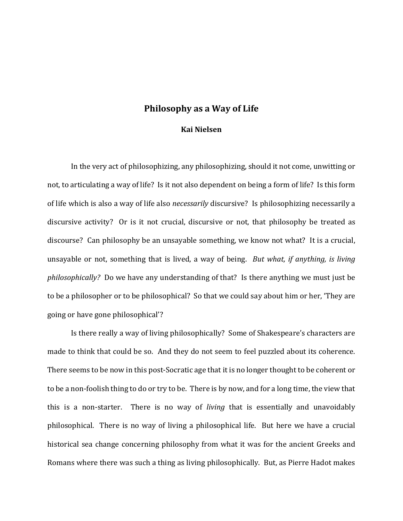## **Philosophy as a Way of Life**

## **Kai Nielsen**

In the very act of philosophizing, any philosophizing, should it not come, unwitting or not, to articulating a way of life? Is it not also dependent on being a form of life? Is this form of life which is also a way of life also *necessarily* discursive? Is philosophizing necessarily a discursive activity? Or is it not crucial, discursive or not, that philosophy be treated as discourse? Can philosophy be an unsayable something, we know not what? It is a crucial, unsayable or not, something that is lived, a way of being. *But what, if anything, is living philosophically?* Do we have any understanding of that? Is there anything we must just be to be a philosopher or to be philosophical? So that we could say about him or her, 'They are going or have gone philosophical'?

Is there really a way of living philosophically? Some of Shakespeare's characters are made to think that could be so. And they do not seem to feel puzzled about its coherence. There seems to be now in this post-Socratic age that it is no longer thought to be coherent or to be a non-foolish thing to do or try to be. There is by now, and for a long time, the view that this is a non-starter. There is no way of *living* that is essentially and unavoidably philosophical. There is no way of living a philosophical life. But here we have a crucial historical sea change concerning philosophy from what it was for the ancient Greeks and Romans where there was such a thing as living philosophically. But, as Pierre Hadot makes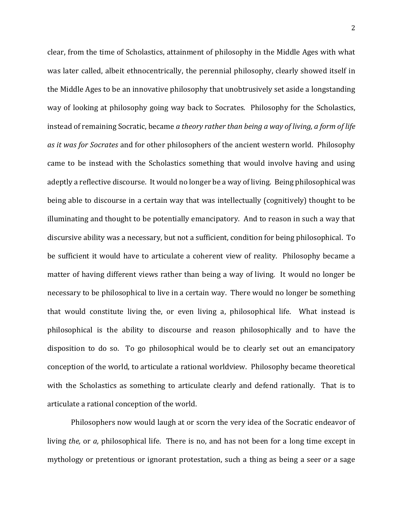clear, from the time of Scholastics, attainment of philosophy in the Middle Ages with what was later called, albeit ethnocentrically, the perennial philosophy, clearly showed itself in the Middle Ages to be an innovative philosophy that unobtrusively set aside a longstanding way of looking at philosophy going way back to Socrates. Philosophy for the Scholastics, instead of remaining Socratic, became *a theory rather than being a way of living, a form of life as it was for Socrates* and for other philosophers of the ancient western world. Philosophy came to be instead with the Scholastics something that would involve having and using adeptly a reflective discourse. It would no longer be a way of living. Being philosophical was being able to discourse in a certain way that was intellectually (cognitively) thought to be illuminating and thought to be potentially emancipatory. And to reason in such a way that discursive ability was a necessary, but not a sufficient, condition for being philosophical. To be sufficient it would have to articulate a coherent view of reality. Philosophy became a matter of having different views rather than being a way of living. It would no longer be necessary to be philosophical to live in a certain way. There would no longer be something that would constitute living the, or even living a, philosophical life. What instead is philosophical is the ability to discourse and reason philosophically and to have the disposition to do so. To go philosophical would be to clearly set out an emancipatory conception of the world, to articulate a rational worldview. Philosophy became theoretical with the Scholastics as something to articulate clearly and defend rationally. That is to articulate a rational conception of the world.

Philosophers now would laugh at or scorn the very idea of the Socratic endeavor of living *the,* or *a,* philosophical life. There is no, and has not been for a long time except in mythology or pretentious or ignorant protestation, such a thing as being a seer or a sage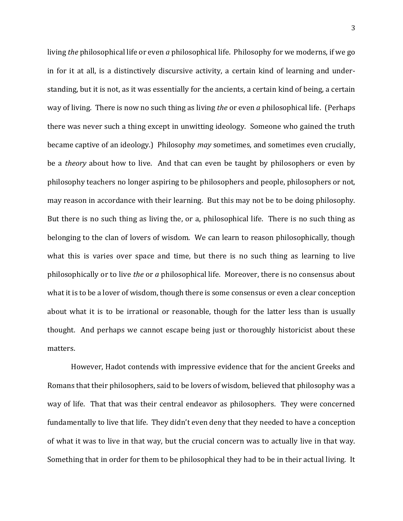living *the* philosophical life or even *a* philosophical life. Philosophy for we moderns, if we go in for it at all, is a distinctively discursive activity, a certain kind of learning and understanding, but it is not, as it was essentially for the ancients, a certain kind of being, a certain way of living. There is now no such thing as living *the* or even *a* philosophical life. (Perhaps there was never such a thing except in unwitting ideology. Someone who gained the truth became captive of an ideology.) Philosophy *may* sometimes, and sometimes even crucially, be a *theory* about how to live. And that can even be taught by philosophers or even by philosophy teachers no longer aspiring to be philosophers and people, philosophers or not, may reason in accordance with their learning. But this may not be to be doing philosophy. But there is no such thing as living the, or a, philosophical life. There is no such thing as belonging to the clan of lovers of wisdom. We can learn to reason philosophically, though what this is varies over space and time, but there is no such thing as learning to live philosophically or to live *the* or *a* philosophical life. Moreover, there is no consensus about what it is to be a lover of wisdom, though there is some consensus or even a clear conception about what it is to be irrational or reasonable, though for the latter less than is usually thought. And perhaps we cannot escape being just or thoroughly historicist about these matters.

However, Hadot contends with impressive evidence that for the ancient Greeks and Romans that their philosophers, said to be lovers of wisdom, believed that philosophy was a way of life. That that was their central endeavor as philosophers. They were concerned fundamentally to live that life. They didn't even deny that they needed to have a conception of what it was to live in that way, but the crucial concern was to actually live in that way. Something that in order for them to be philosophical they had to be in their actual living. It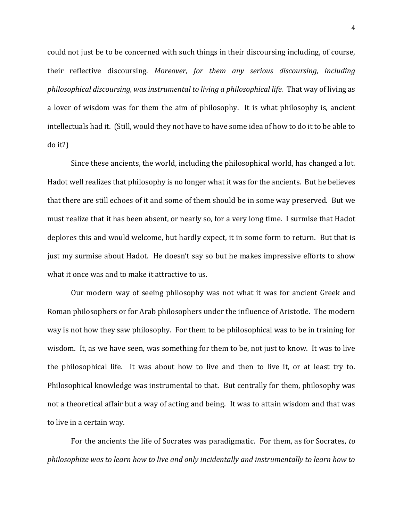could not just be to be concerned with such things in their discoursing including, of course, their reflective discoursing. *Moreover, for them any serious discoursing, including philosophical discoursing, was instrumental to living a philosophical life.* That way of living as a lover of wisdom was for them the aim of philosophy. It is what philosophy is, ancient intellectuals had it. (Still, would they not have to have some idea of how to do it to be able to do it?)

Since these ancients, the world, including the philosophical world, has changed a lot. Hadot well realizes that philosophy is no longer what it was for the ancients. But he believes that there are still echoes of it and some of them should be in some way preserved. But we must realize that it has been absent, or nearly so, for a very long time. I surmise that Hadot deplores this and would welcome, but hardly expect, it in some form to return. But that is just my surmise about Hadot. He doesn't say so but he makes impressive efforts to show what it once was and to make it attractive to us.

Our modern way of seeing philosophy was not what it was for ancient Greek and Roman philosophers or for Arab philosophers under the influence of Aristotle. The modern way is not how they saw philosophy. For them to be philosophical was to be in training for wisdom. It, as we have seen, was something for them to be, not just to know. It was to live the philosophical life. It was about how to live and then to live it, or at least try to. Philosophical knowledge was instrumental to that. But centrally for them, philosophy was not a theoretical affair but a way of acting and being. It was to attain wisdom and that was to live in a certain way.

For the ancients the life of Socrates was paradigmatic. For them, as for Socrates, *to philosophize was to learn how to live and only incidentally and instrumentally to learn how to*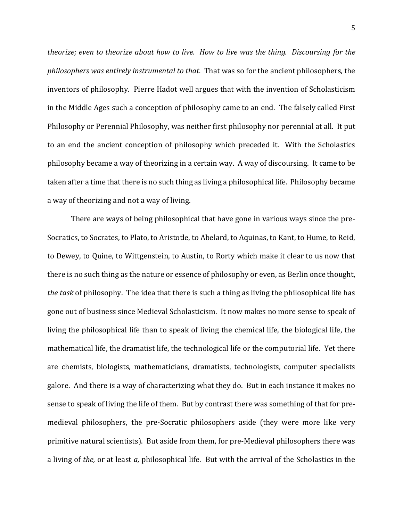*theorize; even to theorize about how to live. How to live was the thing. Discoursing for the philosophers was entirely instrumental to that.* That was so for the ancient philosophers, the inventors of philosophy. Pierre Hadot well argues that with the invention of Scholasticism in the Middle Ages such a conception of philosophy came to an end. The falsely called First Philosophy or Perennial Philosophy, was neither first philosophy nor perennial at all. It put to an end the ancient conception of philosophy which preceded it. With the Scholastics philosophy became a way of theorizing in a certain way. A way of discoursing. It came to be taken after a time that there is no such thing as living a philosophical life. Philosophy became a way of theorizing and not a way of living.

There are ways of being philosophical that have gone in various ways since the pre-Socratics, to Socrates, to Plato, to Aristotle, to Abelard, to Aquinas, to Kant, to Hume, to Reid, to Dewey, to Quine, to Wittgenstein, to Austin, to Rorty which make it clear to us now that there is no such thing as the nature or essence of philosophy or even, as Berlin once thought, *the task* of philosophy. The idea that there is such a thing as living the philosophical life has gone out of business since Medieval Scholasticism. It now makes no more sense to speak of living the philosophical life than to speak of living the chemical life, the biological life, the mathematical life, the dramatist life, the technological life or the computorial life. Yet there are chemists, biologists, mathematicians, dramatists, technologists, computer specialists galore. And there is a way of characterizing what they do. But in each instance it makes no sense to speak of living the life of them. But by contrast there was something of that for premedieval philosophers, the pre-Socratic philosophers aside (they were more like very primitive natural scientists). But aside from them, for pre-Medieval philosophers there was a living of *the,* or at least *a,* philosophical life. But with the arrival of the Scholastics in the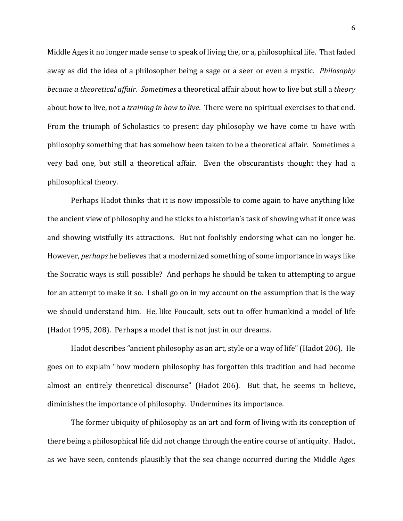Middle Ages it no longer made sense to speak of living the, or a, philosophical life. That faded away as did the idea of a philosopher being a sage or a seer or even a mystic. *Philosophy became a theoretical affair. Sometimes* a theoretical affair about how to live but still a *theory* about how to live, not a *training in how to live*. There were no spiritual exercises to that end. From the triumph of Scholastics to present day philosophy we have come to have with philosophy something that has somehow been taken to be a theoretical affair. Sometimes a very bad one, but still a theoretical affair. Even the obscurantists thought they had a philosophical theory.

Perhaps Hadot thinks that it is now impossible to come again to have anything like the ancient view of philosophy and he sticks to a historian's task of showing what it once was and showing wistfully its attractions. But not foolishly endorsing what can no longer be. However, *perhaps* he believes that a modernized something of some importance in ways like the Socratic ways is still possible? And perhaps he should be taken to attempting to argue for an attempt to make it so. I shall go on in my account on the assumption that is the way we should understand him. He, like Foucault, sets out to offer humankind a model of life (Hadot 1995, 208). Perhaps a model that is not just in our dreams.

Hadot describes "ancient philosophy as an art, style or a way of life" (Hadot 206). He goes on to explain "how modern philosophy has forgotten this tradition and had become almost an entirely theoretical discourse" (Hadot 206). But that, he seems to believe, diminishes the importance of philosophy. Undermines its importance.

The former ubiquity of philosophy as an art and form of living with its conception of there being a philosophical life did not change through the entire course of antiquity. Hadot, as we have seen, contends plausibly that the sea change occurred during the Middle Ages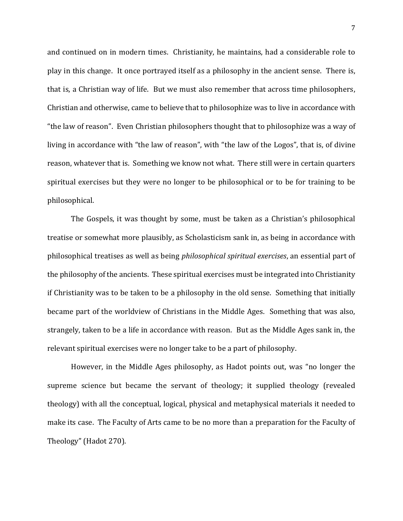and continued on in modern times. Christianity, he maintains, had a considerable role to play in this change. It once portrayed itself as a philosophy in the ancient sense. There is, that is, a Christian way of life. But we must also remember that across time philosophers, Christian and otherwise, came to believe that to philosophize was to live in accordance with "the law of reason". Even Christian philosophers thought that to philosophize was a way of living in accordance with "the law of reason", with "the law of the Logos", that is, of divine reason, whatever that is. Something we know not what. There still were in certain quarters spiritual exercises but they were no longer to be philosophical or to be for training to be philosophical.

The Gospels, it was thought by some, must be taken as a Christian's philosophical treatise or somewhat more plausibly, as Scholasticism sank in, as being in accordance with philosophical treatises as well as being *philosophical spiritual exercises*, an essential part of the philosophy of the ancients. These spiritual exercises must be integrated into Christianity if Christianity was to be taken to be a philosophy in the old sense. Something that initially became part of the worldview of Christians in the Middle Ages. Something that was also, strangely, taken to be a life in accordance with reason. But as the Middle Ages sank in, the relevant spiritual exercises were no longer take to be a part of philosophy.

However, in the Middle Ages philosophy, as Hadot points out, was "no longer the supreme science but became the servant of theology; it supplied theology (revealed theology) with all the conceptual, logical, physical and metaphysical materials it needed to make its case. The Faculty of Arts came to be no more than a preparation for the Faculty of Theology" (Hadot 270).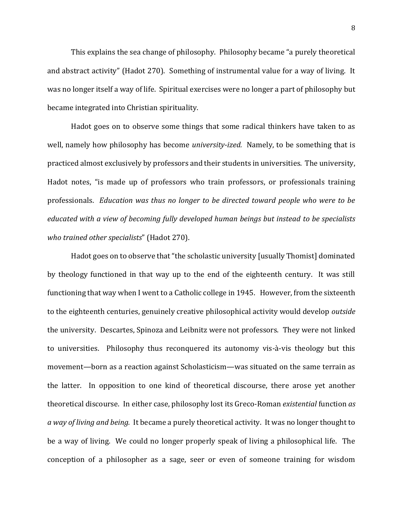This explains the sea change of philosophy. Philosophy became "a purely theoretical and abstract activity" (Hadot 270). Something of instrumental value for a way of living. It was no longer itself a way of life. Spiritual exercises were no longer a part of philosophy but became integrated into Christian spirituality.

Hadot goes on to observe some things that some radical thinkers have taken to as well, namely how philosophy has become *university-ized.* Namely, to be something that is practiced almost exclusively by professors and their students in universities. The university, Hadot notes, "is made up of professors who train professors, or professionals training professionals. *Education was thus no longer to be directed toward people who were to be educated with a view of becoming fully developed human beings but instead to be specialists who trained other specialists*" (Hadot 270).

Hadot goes on to observe that "the scholastic university [usually Thomist] dominated by theology functioned in that way up to the end of the eighteenth century. It was still functioning that way when I went to a Catholic college in 1945. However, from the sixteenth to the eighteenth centuries, genuinely creative philosophical activity would develop *outside*  the university. Descartes, Spinoza and Leibnitz were not professors. They were not linked to universities. Philosophy thus reconquered its autonomy vis-à-vis theology but this movement—born as a reaction against Scholasticism—was situated on the same terrain as the latter. In opposition to one kind of theoretical discourse, there arose yet another theoretical discourse. In either case, philosophy lost its Greco-Roman *existential* function *as a way of living and being.* It became a purely theoretical activity. It was no longer thought to be a way of living. We could no longer properly speak of living a philosophical life. The conception of a philosopher as a sage, seer or even of someone training for wisdom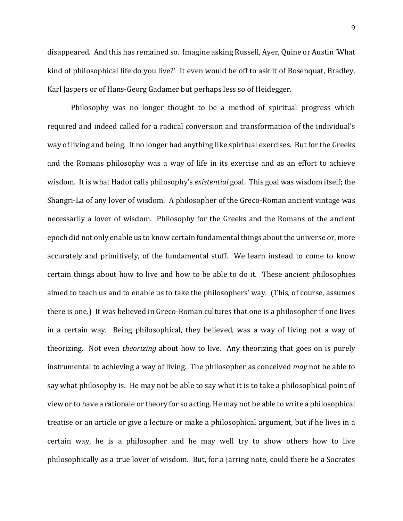disappeared. And this has remained so. Imagine asking Russell, Ayer, Quine or Austin 'What kind of philosophical life do you live?' It even would be off to ask it of Bosenquat, Bradley, Karl Jaspers or of Hans-Georg Gadamer but perhaps less so of Heidegger.

Philosophy was no longer thought to be a method of spiritual progress which required and indeed called for a radical conversion and transformation of the individual's way of living and being. It no longer had anything like spiritual exercises. But for the Greeks and the Romans philosophy was a way of life in its exercise and as an effort to achieve wisdom. It is what Hadot calls philosophy's *existential* goal. This goal was wisdom itself; the Shangri-La of any lover of wisdom. A philosopher of the Greco-Roman ancient vintage was necessarily a lover of wisdom. Philosophy for the Greeks and the Romans of the ancient epoch did not only enable us to know certain fundamental things about the universe or, more accurately and primitively, of the fundamental stuff. We learn instead to come to know certain things about how to live and how to be able to do it. These ancient philosophies aimed to teach us and to enable us to take the philosophers' way. (This, of course, assumes there is one.) It was believed in Greco-Roman cultures that one is a philosopher if one lives in a certain way. Being philosophical, they believed, was a way of living not a way of theorizing. Not even *theorizing* about how to live. Any theorizing that goes on is purely instrumental to achieving a way of living. The philosopher as conceived *may* not be able to say what philosophy is. He may not be able to say what it is to take a philosophical point of view or to have a rationale or theory for so acting. He may not be able to write a philosophical treatise or an article or give a lecture or make a philosophical argument, but if he lives in a certain way, he is a philosopher and he may well try to show others how to live philosophically as a true lover of wisdom. But, for a jarring note, could there be a Socrates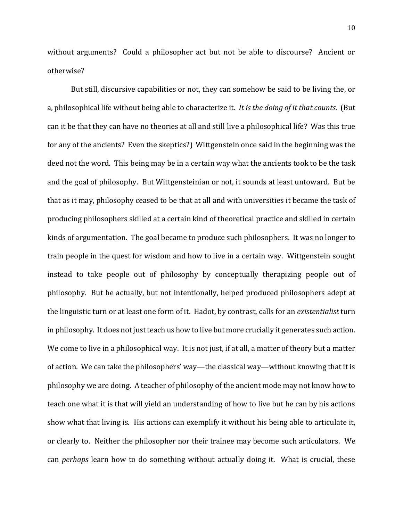without arguments? Could a philosopher act but not be able to discourse? Ancient or otherwise?

But still, discursive capabilities or not, they can somehow be said to be living the, or a, philosophical life without being able to characterize it. *It is the doing of it that counts.* (But can it be that they can have no theories at all and still live a philosophical life? Was this true for any of the ancients? Even the skeptics?) Wittgenstein once said in the beginning was the deed not the word. This being may be in a certain way what the ancients took to be the task and the goal of philosophy. But Wittgensteinian or not, it sounds at least untoward. But be that as it may, philosophy ceased to be that at all and with universities it became the task of producing philosophers skilled at a certain kind of theoretical practice and skilled in certain kinds of argumentation. The goal became to produce such philosophers. It was no longer to train people in the quest for wisdom and how to live in a certain way. Wittgenstein sought instead to take people out of philosophy by conceptually therapizing people out of philosophy. But he actually, but not intentionally, helped produced philosophers adept at the linguistic turn or at least one form of it. Hadot, by contrast, calls for an *existentialist* turn in philosophy. It does not just teach us how to live but more crucially it generates such action. We come to live in a philosophical way. It is not just, if at all, a matter of theory but a matter of action. We can take the philosophers' way—the classical way—without knowing that it is philosophy we are doing. A teacher of philosophy of the ancient mode may not know how to teach one what it is that will yield an understanding of how to live but he can by his actions show what that living is. His actions can exemplify it without his being able to articulate it, or clearly to. Neither the philosopher nor their trainee may become such articulators. We can *perhaps* learn how to do something without actually doing it. What is crucial, these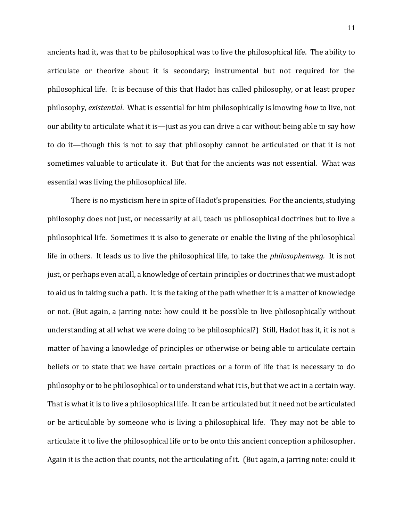ancients had it, was that to be philosophical was to live the philosophical life. The ability to articulate or theorize about it is secondary; instrumental but not required for the philosophical life. It is because of this that Hadot has called philosophy, or at least proper philosophy, *existential*. What is essential for him philosophically is knowing *how* to live, not our ability to articulate what it is—just as you can drive a car without being able to say how to do it—though this is not to say that philosophy cannot be articulated or that it is not sometimes valuable to articulate it. But that for the ancients was not essential. What was essential was living the philosophical life.

There is no mysticism here in spite of Hadot's propensities. For the ancients, studying philosophy does not just, or necessarily at all, teach us philosophical doctrines but to live a philosophical life. Sometimes it is also to generate or enable the living of the philosophical life in others. It leads us to live the philosophical life, to take the *philosophenweg.* It is not just, or perhaps even at all, a knowledge of certain principles or doctrines that we must adopt to aid us in taking such a path. It is the taking of the path whether it is a matter of knowledge or not. (But again, a jarring note: how could it be possible to live philosophically without understanding at all what we were doing to be philosophical?) Still, Hadot has it, it is not a matter of having a knowledge of principles or otherwise or being able to articulate certain beliefs or to state that we have certain practices or a form of life that is necessary to do philosophy or to be philosophical or to understand what it is, but that we act in a certain way. That is what it is to live a philosophical life. It can be articulated but it need not be articulated or be articulable by someone who is living a philosophical life. They may not be able to articulate it to live the philosophical life or to be onto this ancient conception a philosopher. Again it is the action that counts, not the articulating of it. (But again, a jarring note: could it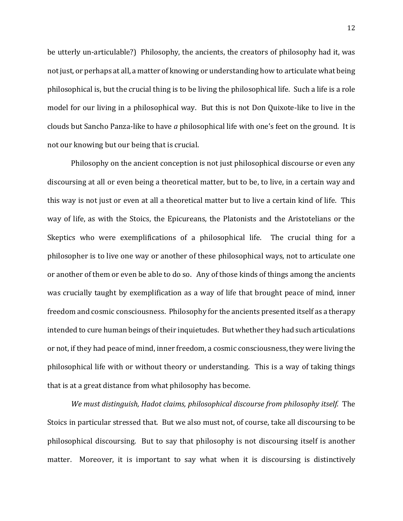be utterly un-articulable?) Philosophy, the ancients, the creators of philosophy had it, was not just, or perhaps at all, a matter of knowing or understanding how to articulate what being philosophical is, but the crucial thing is to be living the philosophical life. Such a life is a role model for our living in a philosophical way. But this is not Don Quixote-like to live in the clouds but Sancho Panza-like to have *a* philosophical life with one's feet on the ground. It is not our knowing but our being that is crucial.

Philosophy on the ancient conception is not just philosophical discourse or even any discoursing at all or even being a theoretical matter, but to be, to live, in a certain way and this way is not just or even at all a theoretical matter but to live a certain kind of life. This way of life, as with the Stoics, the Epicureans, the Platonists and the Aristotelians or the Skeptics who were exemplifications of a philosophical life. The crucial thing for a philosopher is to live one way or another of these philosophical ways, not to articulate one or another of them or even be able to do so. Any of those kinds of things among the ancients was crucially taught by exemplification as a way of life that brought peace of mind, inner freedom and cosmic consciousness. Philosophy for the ancients presented itself as a therapy intended to cure human beings of their inquietudes. But whether they had such articulations or not, if they had peace of mind, inner freedom, a cosmic consciousness, they were living the philosophical life with or without theory or understanding. This is a way of taking things that is at a great distance from what philosophy has become.

*We must distinguish, Hadot claims, philosophical discourse from philosophy itself.* The Stoics in particular stressed that. But we also must not, of course, take all discoursing to be philosophical discoursing. But to say that philosophy is not discoursing itself is another matter. Moreover, it is important to say what when it is discoursing is distinctively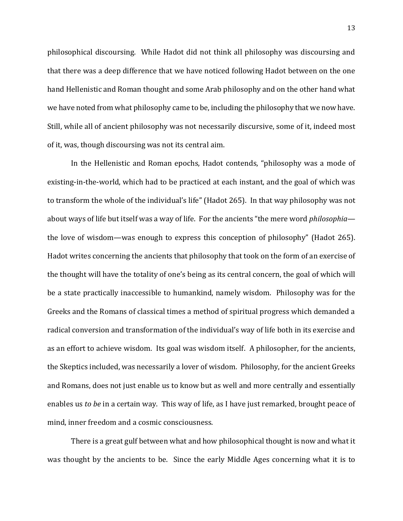philosophical discoursing. While Hadot did not think all philosophy was discoursing and that there was a deep difference that we have noticed following Hadot between on the one hand Hellenistic and Roman thought and some Arab philosophy and on the other hand what we have noted from what philosophy came to be, including the philosophy that we now have. Still, while all of ancient philosophy was not necessarily discursive, some of it, indeed most of it, was, though discoursing was not its central aim.

In the Hellenistic and Roman epochs, Hadot contends, "philosophy was a mode of existing-in-the-world, which had to be practiced at each instant, and the goal of which was to transform the whole of the individual's life" (Hadot 265). In that way philosophy was not about ways of life but itself was a way of life. For the ancients "the mere word *philosophia* the love of wisdom—was enough to express this conception of philosophy" (Hadot 265). Hadot writes concerning the ancients that philosophy that took on the form of an exercise of the thought will have the totality of one's being as its central concern, the goal of which will be a state practically inaccessible to humankind, namely wisdom. Philosophy was for the Greeks and the Romans of classical times a method of spiritual progress which demanded a radical conversion and transformation of the individual's way of life both in its exercise and as an effort to achieve wisdom. Its goal was wisdom itself. A philosopher, for the ancients, the Skeptics included, was necessarily a lover of wisdom. Philosophy, for the ancient Greeks and Romans, does not just enable us to know but as well and more centrally and essentially enables us *to be* in a certain way. This way of life, as I have just remarked, brought peace of mind, inner freedom and a cosmic consciousness.

There is a great gulf between what and how philosophical thought is now and what it was thought by the ancients to be. Since the early Middle Ages concerning what it is to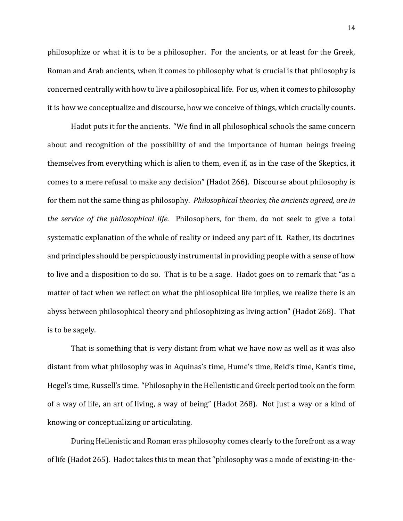philosophize or what it is to be a philosopher. For the ancients, or at least for the Greek, Roman and Arab ancients, when it comes to philosophy what is crucial is that philosophy is concerned centrally with how to live a philosophical life. For us, when it comes to philosophy it is how we conceptualize and discourse, how we conceive of things, which crucially counts.

Hadot puts it for the ancients. "We find in all philosophical schools the same concern about and recognition of the possibility of and the importance of human beings freeing themselves from everything which is alien to them, even if, as in the case of the Skeptics, it comes to a mere refusal to make any decision" (Hadot 266). Discourse about philosophy is for them not the same thing as philosophy. *Philosophical theories, the ancients agreed, are in the service of the philosophical life.* Philosophers, for them, do not seek to give a total systematic explanation of the whole of reality or indeed any part of it. Rather, its doctrines and principles should be perspicuously instrumental in providing people with a sense of how to live and a disposition to do so. That is to be a sage. Hadot goes on to remark that "as a matter of fact when we reflect on what the philosophical life implies, we realize there is an abyss between philosophical theory and philosophizing as living action" (Hadot 268). That is to be sagely.

That is something that is very distant from what we have now as well as it was also distant from what philosophy was in Aquinas's time, Hume's time, Reid's time, Kant's time, Hegel's time, Russell's time. "Philosophy in the Hellenistic and Greek period took on the form of a way of life, an art of living, a way of being" (Hadot 268). Not just a way or a kind of knowing or conceptualizing or articulating.

During Hellenistic and Roman eras philosophy comes clearly to the forefront as a way of life (Hadot 265). Hadot takes this to mean that "philosophy was a mode of existing-in-the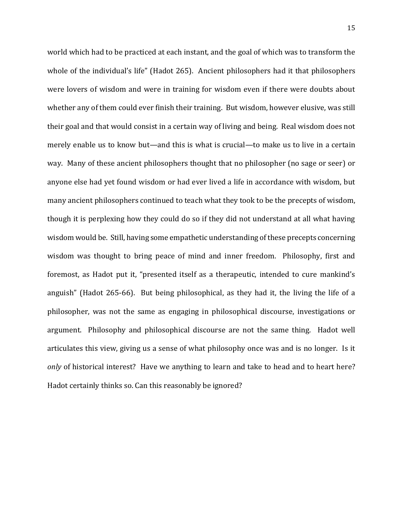world which had to be practiced at each instant, and the goal of which was to transform the whole of the individual's life" (Hadot 265). Ancient philosophers had it that philosophers were lovers of wisdom and were in training for wisdom even if there were doubts about whether any of them could ever finish their training. But wisdom, however elusive, was still their goal and that would consist in a certain way of living and being. Real wisdom does not merely enable us to know but—and this is what is crucial—to make us to live in a certain way. Many of these ancient philosophers thought that no philosopher (no sage or seer) or anyone else had yet found wisdom or had ever lived a life in accordance with wisdom, but many ancient philosophers continued to teach what they took to be the precepts of wisdom, though it is perplexing how they could do so if they did not understand at all what having wisdom would be. Still, having some empathetic understanding of these precepts concerning wisdom was thought to bring peace of mind and inner freedom. Philosophy, first and foremost, as Hadot put it, "presented itself as a therapeutic, intended to cure mankind's anguish" (Hadot 265-66). But being philosophical, as they had it, the living the life of a philosopher, was not the same as engaging in philosophical discourse, investigations or argument. Philosophy and philosophical discourse are not the same thing. Hadot well articulates this view, giving us a sense of what philosophy once was and is no longer. Is it *only* of historical interest? Have we anything to learn and take to head and to heart here? Hadot certainly thinks so. Can this reasonably be ignored?